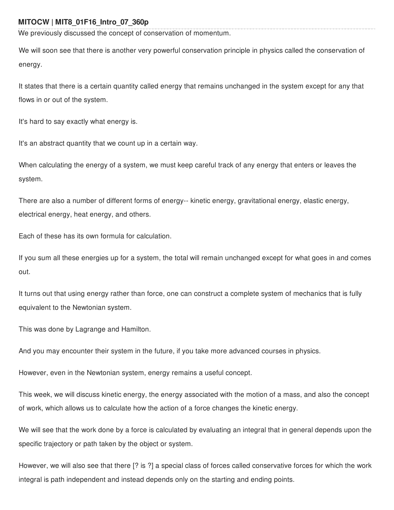## **MITOCW | MIT8\_01F16\_Intro\_07\_360p**

We previously discussed the concept of conservation of momentum.

We will soon see that there is another very powerful conservation principle in physics called the conservation of energy.

It states that there is a certain quantity called energy that remains unchanged in the system except for any that flows in or out of the system.

It's hard to say exactly what energy is.

It's an abstract quantity that we count up in a certain way.

When calculating the energy of a system, we must keep careful track of any energy that enters or leaves the system.

There are also a number of different forms of energy-- kinetic energy, gravitational energy, elastic energy, electrical energy, heat energy, and others.

Each of these has its own formula for calculation.

If you sum all these energies up for a system, the total will remain unchanged except for what goes in and comes out.

It turns out that using energy rather than force, one can construct a complete system of mechanics that is fully equivalent to the Newtonian system.

This was done by Lagrange and Hamilton.

And you may encounter their system in the future, if you take more advanced courses in physics.

However, even in the Newtonian system, energy remains a useful concept.

This week, we will discuss kinetic energy, the energy associated with the motion of a mass, and also the concept of work, which allows us to calculate how the action of a force changes the kinetic energy.

We will see that the work done by a force is calculated by evaluating an integral that in general depends upon the specific trajectory or path taken by the object or system.

However, we will also see that there [? is ?] a special class of forces called conservative forces for which the work integral is path independent and instead depends only on the starting and ending points.